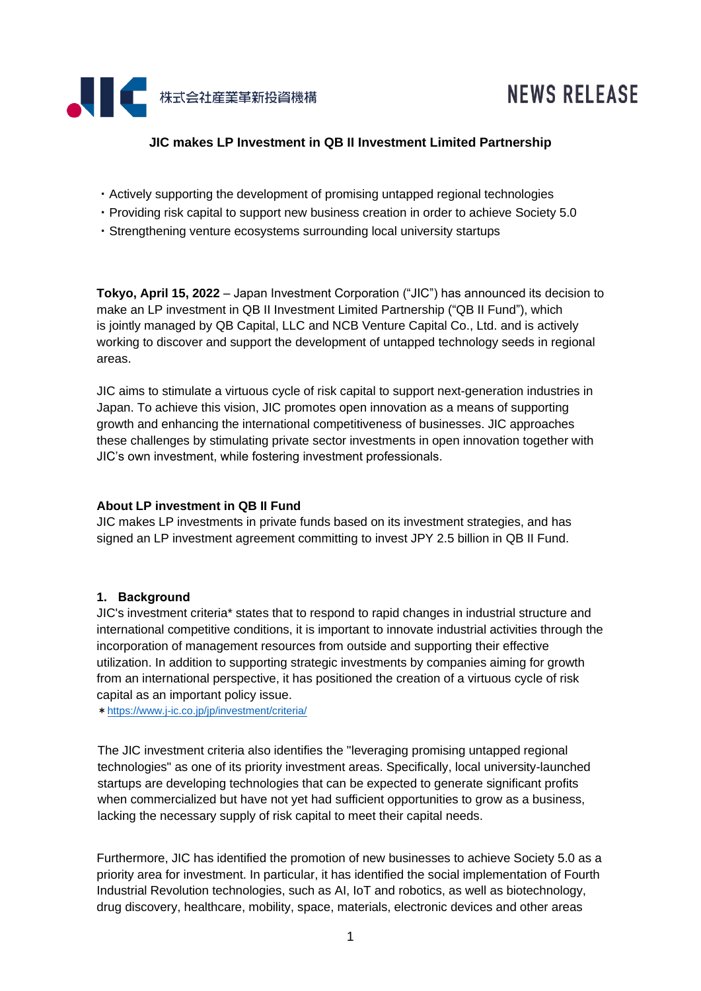

# **NEWS RELEASE**

## **JIC makes LP Investment in QB II Investment Limited Partnership**

- ・Actively supporting the development of promising untapped regional technologies
- ・Providing risk capital to support new business creation in order to achieve Society 5.0
- ・Strengthening venture ecosystems surrounding local university startups

**Tokyo, April 15, 2022** – Japan Investment Corporation ("JIC") has announced its decision to make an LP investment in QB II Investment Limited Partnership ("QB II Fund"), which is jointly managed by QB Capital, LLC and NCB Venture Capital Co., Ltd. and is actively working to discover and support the development of untapped technology seeds in regional areas.

JIC aims to stimulate a virtuous cycle of risk capital to support next-generation industries in Japan. To achieve this vision, JIC promotes open innovation as a means of supporting growth and enhancing the international competitiveness of businesses. JIC approaches these challenges by stimulating private sector investments in open innovation together with JIC's own investment, while fostering investment professionals.

#### **About LP investment in QB II Fund**

JIC makes LP investments in private funds based on its investment strategies, and has signed an LP investment agreement committing to invest JPY 2.5 billion in QB II Fund.

#### **1. Background**

JIC's investment criteria\* states that to respond to rapid changes in industrial structure and international competitive conditions, it is important to innovate industrial activities through the incorporation of management resources from outside and supporting their effective utilization. In addition to supporting strategic investments by companies aiming for growth from an international perspective, it has positioned the creation of a virtuous cycle of risk capital as an important policy issue.

\*<https://www.j-ic.co.jp/jp/investment/criteria/>

The JIC investment criteria also identifies the "leveraging promising untapped regional technologies" as one of its priority investment areas. Specifically, local university-launched startups are developing technologies that can be expected to generate significant profits when commercialized but have not yet had sufficient opportunities to grow as a business, lacking the necessary supply of risk capital to meet their capital needs.

Furthermore, JIC has identified the promotion of new businesses to achieve Society 5.0 as a priority area for investment. In particular, it has identified the social implementation of Fourth Industrial Revolution technologies, such as AI, IoT and robotics, as well as biotechnology, drug discovery, healthcare, mobility, space, materials, electronic devices and other areas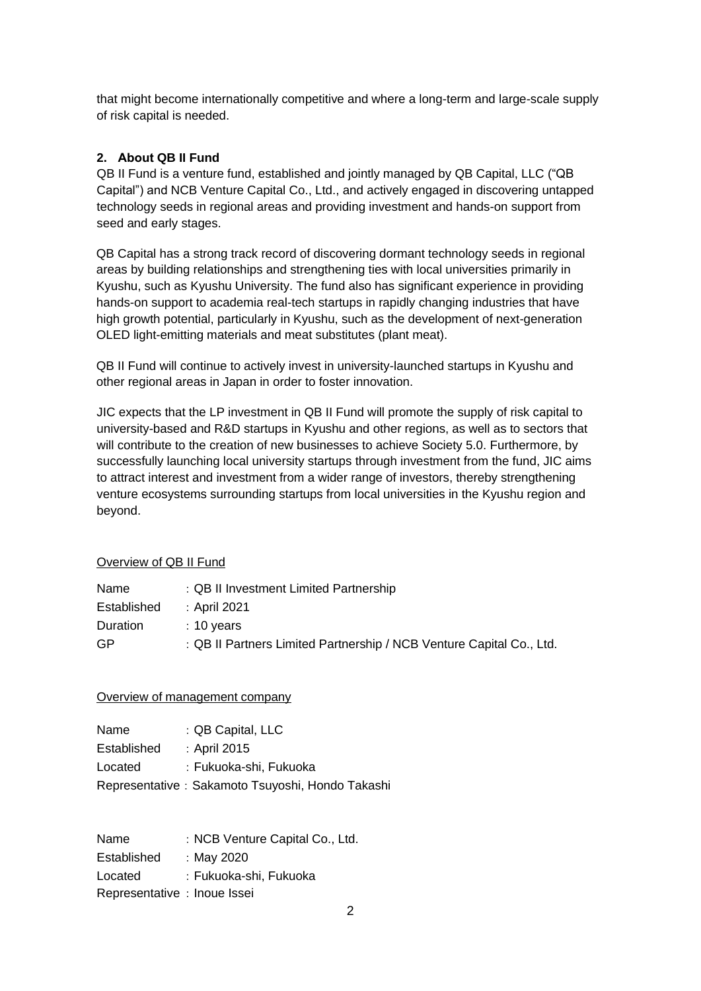that might become internationally competitive and where a long-term and large-scale supply of risk capital is needed.

## **2. About QB II Fund**

QB II Fund is a venture fund, established and jointly managed by QB Capital, LLC ("QB Capital") and NCB Venture Capital Co., Ltd., and actively engaged in discovering untapped technology seeds in regional areas and providing investment and hands-on support from seed and early stages.

QB Capital has a strong track record of discovering dormant technology seeds in regional areas by building relationships and strengthening ties with local universities primarily in Kyushu, such as Kyushu University. The fund also has significant experience in providing hands-on support to academia real-tech startups in rapidly changing industries that have high growth potential, particularly in Kyushu, such as the development of next-generation OLED light-emitting materials and meat substitutes (plant meat).

QB II Fund will continue to actively invest in university-launched startups in Kyushu and other regional areas in Japan in order to foster innovation.

JIC expects that the LP investment in QB II Fund will promote the supply of risk capital to university-based and R&D startups in Kyushu and other regions, as well as to sectors that will contribute to the creation of new businesses to achieve Society 5.0. Furthermore, by successfully launching local university startups through investment from the fund, JIC aims to attract interest and investment from a wider range of investors, thereby strengthening venture ecosystems surrounding startups from local universities in the Kyushu region and beyond.

## Overview of QB II Fund

| Name            | : QB II Investment Limited Partnership                               |
|-----------------|----------------------------------------------------------------------|
| Established     | : April 2021                                                         |
| <b>Duration</b> | $: 10$ years                                                         |
| GP.             | : QB II Partners Limited Partnership / NCB Venture Capital Co., Ltd. |

#### Overview of management company

| Name        | : QB Capital, LLC                                |
|-------------|--------------------------------------------------|
| Established | : April 2015                                     |
| Located     | : Fukuoka-shi, Fukuoka                           |
|             | Representative: Sakamoto Tsuyoshi, Hondo Takashi |

| Name                         | : NCB Venture Capital Co., Ltd. |
|------------------------------|---------------------------------|
| Established                  | : May 2020                      |
| Located                      | : Fukuoka-shi, Fukuoka          |
| Representative : Inoue Issei |                                 |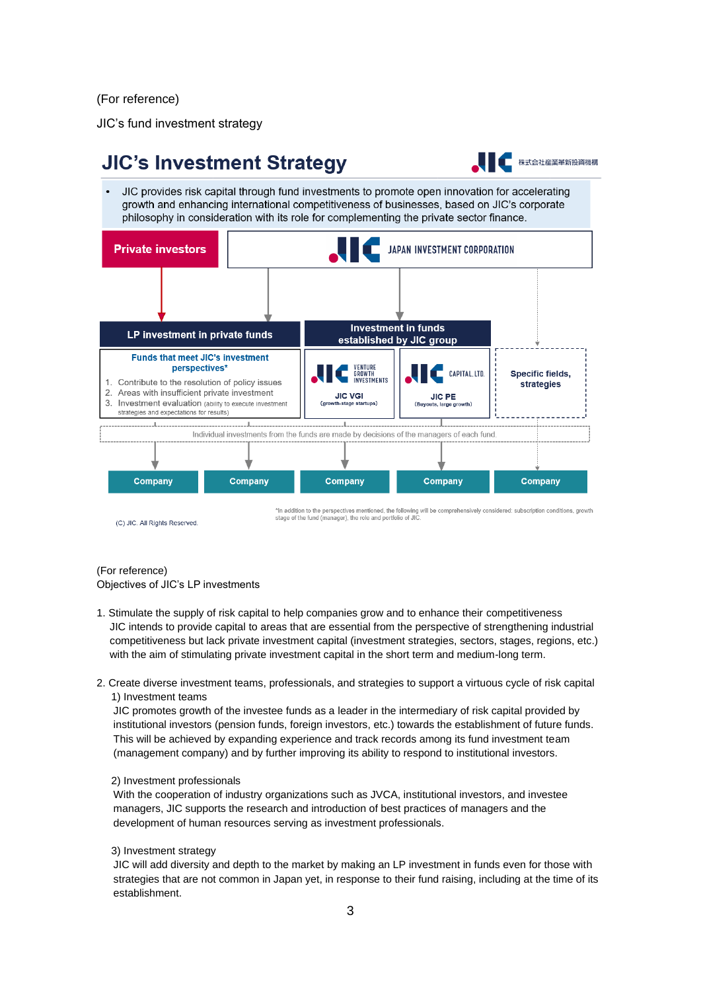(For reference)

JIC's fund investment strategy



(For reference)

Objectives of JIC's LP investments

- 1. Stimulate the supply of risk capital to help companies grow and to enhance their competitiveness JIC intends to provide capital to areas that are essential from the perspective of strengthening industrial competitiveness but lack private investment capital (investment strategies, sectors, stages, regions, etc.) with the aim of stimulating private investment capital in the short term and medium-long term.
- 2. Create diverse investment teams, professionals, and strategies to support a virtuous cycle of risk capital 1) Investment teams

JIC promotes growth of the investee funds as a leader in the intermediary of risk capital provided by institutional investors (pension funds, foreign investors, etc.) towards the establishment of future funds. This will be achieved by expanding experience and track records among its fund investment team (management company) and by further improving its ability to respond to institutional investors.

2) Investment professionals

With the cooperation of industry organizations such as JVCA, institutional investors, and investee managers, JIC supports the research and introduction of best practices of managers and the development of human resources serving as investment professionals.

3) Investment strategy

JIC will add diversity and depth to the market by making an LP investment in funds even for those with strategies that are not common in Japan yet, in response to their fund raising, including at the time of its establishment.